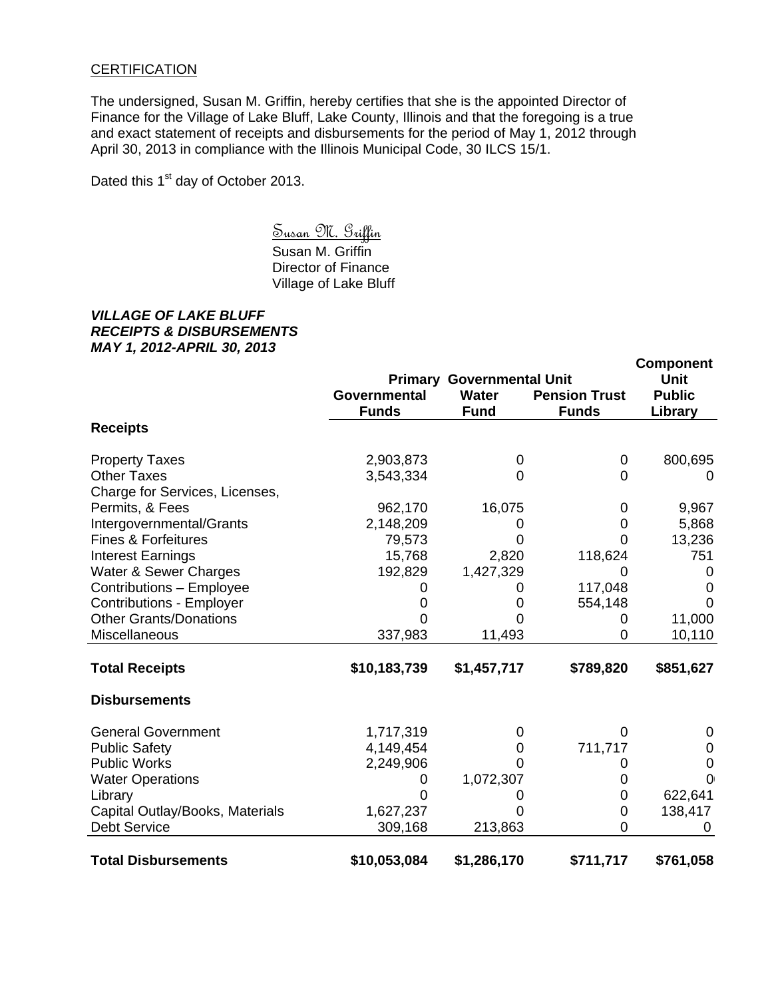## **CERTIFICATION**

The undersigned, Susan M. Griffin, hereby certifies that she is the appointed Director of Finance for the Village of Lake Bluff, Lake County, Illinois and that the foregoing is a true and exact statement of receipts and disbursements for the period of May 1, 2012 through April 30, 2013 in compliance with the Illinois Municipal Code, 30 ILCS 15/1.

Dated this 1<sup>st</sup> day of October 2013.

 Susan M. Griffin Susan M. Griffin Director of Finance Village of Lake Bluff

## *VILLAGE OF LAKE BLUFF RECEIPTS & DISBURSEMENTS MAY 1, 2012-APRIL 30, 2013*

|                                 |                              |                                  |                                      | <b>Component</b>         |
|---------------------------------|------------------------------|----------------------------------|--------------------------------------|--------------------------|
|                                 |                              | <b>Primary Governmental Unit</b> |                                      | <b>Unit</b>              |
|                                 | Governmental<br><b>Funds</b> | <b>Water</b><br><b>Fund</b>      | <b>Pension Trust</b><br><b>Funds</b> | <b>Public</b><br>Library |
| <b>Receipts</b>                 |                              |                                  |                                      |                          |
| <b>Property Taxes</b>           | 2,903,873                    | 0                                | 0                                    | 800,695                  |
| <b>Other Taxes</b>              | 3,543,334                    | 0                                | 0                                    | $\Omega$                 |
| Charge for Services, Licenses,  |                              |                                  |                                      |                          |
| Permits, & Fees                 | 962,170                      | 16,075                           | 0                                    | 9,967                    |
| Intergovernmental/Grants        | 2,148,209                    | 0                                | 0                                    | 5,868                    |
| <b>Fines &amp; Forfeitures</b>  | 79,573                       | 0                                | 0                                    | 13,236                   |
| <b>Interest Earnings</b>        | 15,768                       | 2,820                            | 118,624                              | 751                      |
| Water & Sewer Charges           | 192,829                      | 1,427,329                        | 0                                    | 0                        |
| Contributions - Employee        |                              | 0                                | 117,048                              | 0                        |
| <b>Contributions - Employer</b> |                              | O                                | 554,148                              | $\Omega$                 |
| <b>Other Grants/Donations</b>   |                              |                                  | 0                                    | 11,000                   |
| Miscellaneous                   | 337,983                      | 11,493                           | 0                                    | 10,110                   |
| <b>Total Receipts</b>           | \$10,183,739                 | \$1,457,717                      | \$789,820                            | \$851,627                |
| <b>Disbursements</b>            |                              |                                  |                                      |                          |
| <b>General Government</b>       | 1,717,319                    | 0                                | $\Omega$                             | 0                        |
| <b>Public Safety</b>            | 4,149,454                    | 0                                | 711,717                              | 0                        |
| <b>Public Works</b>             | 2,249,906                    | O                                | 0                                    | 0                        |
| <b>Water Operations</b>         | 0                            | 1,072,307                        | 0                                    | $\overline{0}$           |
| Library                         |                              |                                  | 0                                    | 622,641                  |
| Capital Outlay/Books, Materials | 1,627,237                    |                                  | 0                                    | 138,417                  |
| <b>Debt Service</b>             | 309,168                      | 213,863                          | 0                                    |                          |
| <b>Total Disbursements</b>      | \$10,053,084                 | \$1,286,170                      | \$711,717                            | \$761,058                |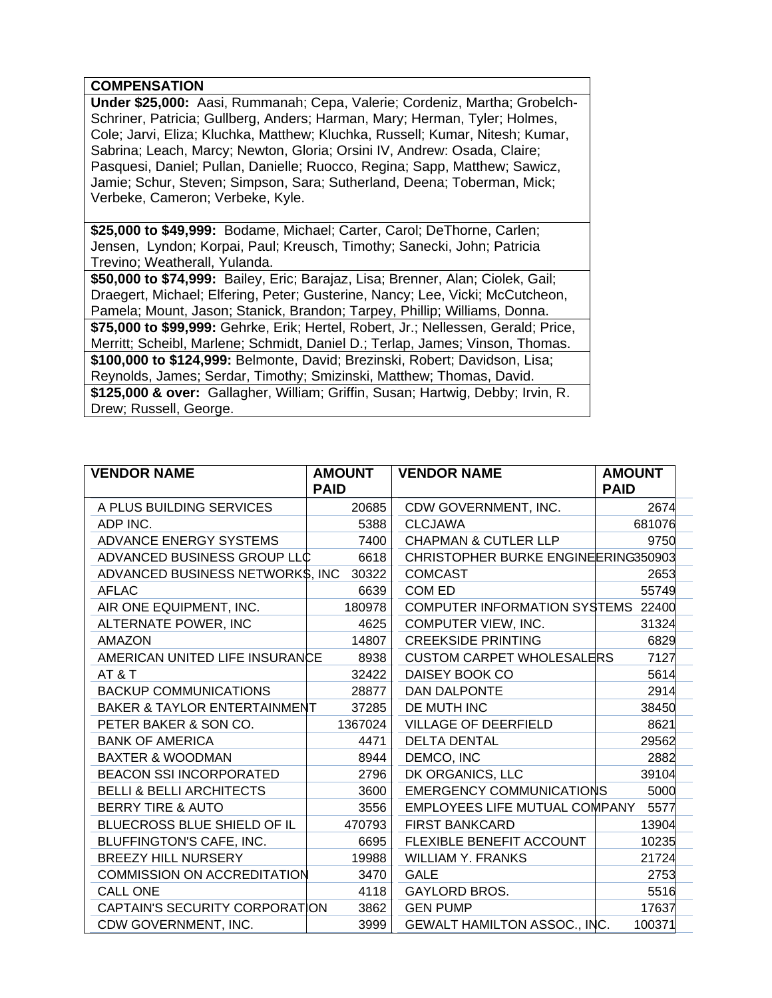## **COMPENSATION**

**Under \$25,000:** Aasi, Rummanah; Cepa, Valerie; Cordeniz, Martha; Grobelch-Schriner, Patricia; Gullberg, Anders; Harman, Mary; Herman, Tyler; Holmes, Cole; Jarvi, Eliza; Kluchka, Matthew; Kluchka, Russell; Kumar, Nitesh; Kumar, Sabrina; Leach, Marcy; Newton, Gloria; Orsini IV, Andrew: Osada, Claire; Pasquesi, Daniel; Pullan, Danielle; Ruocco, Regina; Sapp, Matthew; Sawicz, Jamie; Schur, Steven; Simpson, Sara; Sutherland, Deena; Toberman, Mick; Verbeke, Cameron; Verbeke, Kyle.

**\$25,000 to \$49,999:** Bodame, Michael; Carter, Carol; DeThorne, Carlen; Jensen, Lyndon; Korpai, Paul; Kreusch, Timothy; Sanecki, John; Patricia Trevino; Weatherall, Yulanda.

**\$50,000 to \$74,999:** Bailey, Eric; Barajaz, Lisa; Brenner, Alan; Ciolek, Gail; Draegert, Michael; Elfering, Peter; Gusterine, Nancy; Lee, Vicki; McCutcheon, Pamela; Mount, Jason; Stanick, Brandon; Tarpey, Phillip; Williams, Donna. **\$75,000 to \$99,999:** Gehrke, Erik; Hertel, Robert, Jr.; Nellessen, Gerald; Price, Merritt; Scheibl, Marlene; Schmidt, Daniel D.; Terlap, James; Vinson, Thomas. **\$100,000 to \$124,999:** Belmonte, David; Brezinski, Robert; Davidson, Lisa; Reynolds, James; Serdar, Timothy; Smizinski, Matthew; Thomas, David. **\$125,000 & over:** Gallagher, William; Griffin, Susan; Hartwig, Debby; Irvin, R. Drew; Russell, George.

| <b>VENDOR NAME</b>                      | <b>AMOUNT</b> | <b>VENDOR NAME</b>                  | <b>AMOUNT</b> |  |  |
|-----------------------------------------|---------------|-------------------------------------|---------------|--|--|
|                                         | <b>PAID</b>   |                                     | <b>PAID</b>   |  |  |
| A PLUS BUILDING SERVICES                | 20685         | CDW GOVERNMENT, INC.                | 2674          |  |  |
| ADP INC.                                | 5388          | <b>CLCJAWA</b>                      | 681076        |  |  |
| ADVANCE ENERGY SYSTEMS                  | 7400          | <b>CHAPMAN &amp; CUTLER LLP</b>     | 9750          |  |  |
| ADVANCED BUSINESS GROUP LLC             | 6618          | CHRISTOPHER BURKE ENGINEERING350903 |               |  |  |
| ADVANCED BUSINESS NETWORK\$, INC        | 30322         | <b>COMCAST</b>                      | 2653          |  |  |
| <b>AFLAC</b>                            | 6639          | COM ED                              | 55749         |  |  |
| AIR ONE EQUIPMENT, INC.                 | 180978        | COMPUTER INFORMATION SYSTEMS 22400  |               |  |  |
| ALTERNATE POWER, INC                    | 4625          | COMPUTER VIEW, INC.                 | 31324         |  |  |
| AMAZON                                  | 14807         | <b>CREEKSIDE PRINTING</b>           | 6829          |  |  |
| AMERICAN UNITED LIFE INSURANCE          | 8938          | <b>CUSTOM CARPET WHOLESALERS</b>    | 7127          |  |  |
| AT & T                                  | 32422         | DAISEY BOOK CO                      | 5614          |  |  |
| <b>BACKUP COMMUNICATIONS</b>            | 28877         | <b>DAN DALPONTE</b>                 | 2914          |  |  |
| <b>BAKER &amp; TAYLOR ENTERTAINMENT</b> | 37285         | DE MUTH INC                         | 38450         |  |  |
| PETER BAKER & SON CO.                   | 1367024       | <b>VILLAGE OF DEERFIELD</b>         | 8621          |  |  |
| <b>BANK OF AMERICA</b>                  | 4471          | <b>DELTA DENTAL</b>                 | 29562         |  |  |
| <b>BAXTER &amp; WOODMAN</b>             | 8944          | DEMCO, INC                          | 2882          |  |  |
| <b>BEACON SSI INCORPORATED</b>          | 2796          | DK ORGANICS, LLC                    | 39104         |  |  |
| <b>BELLI &amp; BELLI ARCHITECTS</b>     | 3600          | <b>EMERGENCY COMMUNICATIONS</b>     | 5000          |  |  |
| <b>BERRY TIRE &amp; AUTO</b>            | 3556          | EMPLOYEES LIFE MUTUAL COMPANY       | 5577          |  |  |
| BLUECROSS BLUE SHIELD OF IL             | 470793        | <b>FIRST BANKCARD</b>               | 13904         |  |  |
| BLUFFINGTON'S CAFE, INC.                | 6695          | FLEXIBLE BENEFIT ACCOUNT            | 10235         |  |  |
| <b>BREEZY HILL NURSERY</b>              | 19988         | <b>WILLIAM Y. FRANKS</b>            | 21724         |  |  |
| <b>COMMISSION ON ACCREDITATION</b>      | 3470          | <b>GALE</b>                         | 2753          |  |  |
| <b>CALL ONE</b>                         | 4118          | <b>GAYLORD BROS.</b>                | 5516          |  |  |
| CAPTAIN'S SECURITY CORPORATION          | 3862          | <b>GEN PUMP</b>                     | 17637         |  |  |
| CDW GOVERNMENT, INC.                    | 3999          | GEWALT HAMILTON ASSOC., INC.        | 100371        |  |  |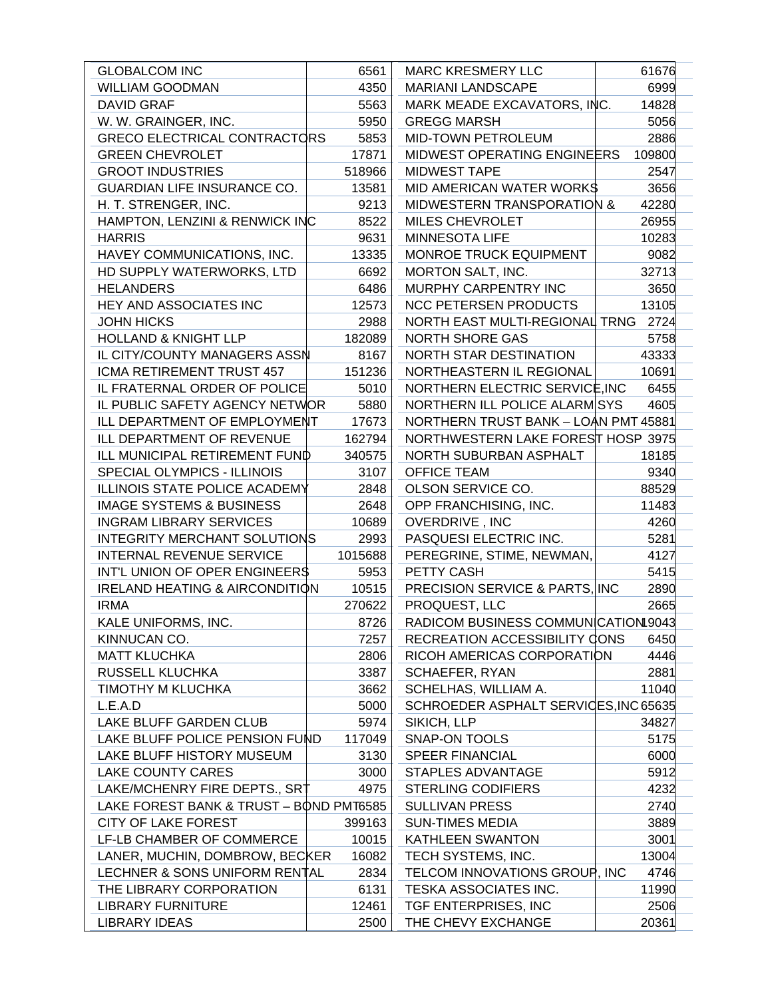| <b>WILLIAM GOODMAN</b><br>4350<br><b>MARIANI LANDSCAPE</b><br>6999<br>5563<br>MARK MEADE EXCAVATORS, INC.<br>14828<br><b>DAVID GRAF</b><br>5056<br>W. W. GRAINGER, INC.<br>5950<br><b>GREGG MARSH</b><br><b>GRECO ELECTRICAL CONTRACTORS</b><br>5853<br>MID-TOWN PETROLEUM<br>2886<br><b>GREEN CHEVROLET</b><br>MIDWEST OPERATING ENGINEERS<br>17871<br>109800<br><b>GROOT INDUSTRIES</b><br>518966<br><b>MIDWEST TAPE</b><br>2547<br><b>GUARDIAN LIFE INSURANCE CO.</b><br><b>MID AMERICAN WATER WORKS</b><br>3656<br>13581<br>H. T. STRENGER, INC.<br>42280<br>9213<br><b>MIDWESTERN TRANSPORATION &amp;</b><br>HAMPTON, LENZINI & RENWICK INC<br>8522<br><b>MILES CHEVROLET</b><br>26955<br>9631<br>10283<br><b>HARRIS</b><br><b>MINNESOTA LIFE</b><br>HAVEY COMMUNICATIONS, INC.<br>13335<br>MONROE TRUCK EQUIPMENT<br>9082<br>32713<br>HD SUPPLY WATERWORKS, LTD<br>6692<br>MORTON SALT, INC.<br>MURPHY CARPENTRY INC<br><b>HELANDERS</b><br>6486<br>3650<br>HEY AND ASSOCIATES INC<br>12573<br><b>NCC PETERSEN PRODUCTS</b><br>13105<br><b>JOHN HICKS</b><br>NORTH EAST MULTI-REGIONAL TRNG<br>2724<br>2988<br><b>HOLLAND &amp; KNIGHT LLP</b><br>182089<br><b>NORTH SHORE GAS</b><br>5758<br>IL CITY/COUNTY MANAGERS ASSN<br>43333<br>8167<br>NORTH STAR DESTINATION<br>ICMA RETIREMENT TRUST 457<br>151236<br>NORTHEASTERN IL REGIONAL<br>10691<br>NORTHERN ELECTRIC SERVICE, INC<br>IL FRATERNAL ORDER OF POLICE<br>5010<br>6455<br>IL PUBLIC SAFETY AGENCY NETWOR<br>5880<br>NORTHERN ILL POLICE ALARMISYS<br>4605<br>ILL DEPARTMENT OF EMPLOYMENT<br>17673<br>NORTHERN TRUST BANK - LOAN PMT 45881<br>NORTHWESTERN LAKE FOREST HOSP 3975<br>ILL DEPARTMENT OF REVENUE<br>162794<br>18185<br>ILL MUNICIPAL RETIREMENT FUND<br>340575<br>NORTH SUBURBAN ASPHALT<br><b>OFFICE TEAM</b><br>SPECIAL OLYMPICS - ILLINOIS<br>3107<br>9340<br><b>ILLINOIS STATE POLICE ACADEMY</b><br>2848<br>OLSON SERVICE CO.<br>88529<br><b>IMAGE SYSTEMS &amp; BUSINESS</b><br>2648<br>OPP FRANCHISING, INC.<br>11483<br>OVERDRIVE, INC<br><b>INGRAM LIBRARY SERVICES</b><br>10689<br>4260<br><b>INTEGRITY MERCHANT SOLUTIONS</b><br>2993<br>PASQUESI ELECTRIC INC.<br>5281<br>INTERNAL REVENUE SERVICE<br>4127<br>1015688<br>PEREGRINE, STIME, NEWMAN,<br>INT'L UNION OF OPER ENGINEER\$<br>5953<br>PETTY CASH<br>5415<br>PRECISION SERVICE & PARTS, INC.<br><b>IRELAND HEATING &amp; AIRCONDITION</b><br>10515<br>2890<br>PROQUEST, LLC<br><b>IRMA</b><br>270622<br>2665<br>RADICOM BUSINESS COMMUNICATION 9043<br>8726<br>KALE UNIFORMS, INC.<br>KINNUCAN CO.<br>7257<br>RECREATION ACCESSIBILITY CONS<br>6450<br>2806<br>4446<br><b>MATT KLUCHKA</b><br>RICOH AMERICAS CORPORATION<br>RUSSELL KLUCHKA<br>3387<br>2881<br>SCHAEFER, RYAN<br>TIMOTHY M KLUCHKA<br>3662<br>SCHELHAS, WILLIAM A.<br>11040<br>SCHROEDER ASPHALT SERVICES, INC 65635<br>L.E.A.D<br>5000<br>LAKE BLUFF GARDEN CLUB<br>5974<br>SIKICH, LLP<br>34827<br>LAKE BLUFF POLICE PENSION FUND<br>117049<br>SNAP-ON TOOLS<br>5175<br>LAKE BLUFF HISTORY MUSEUM<br>3130<br><b>SPEER FINANCIAL</b><br>6000<br><b>LAKE COUNTY CARES</b><br>3000<br>STAPLES ADVANTAGE<br>5912<br>LAKE/MCHENRY FIRE DEPTS., SRT<br>4975<br><b>STERLING CODIFIERS</b><br>4232<br>LAKE FOREST BANK & TRUST - BOND PMT6585<br><b>SULLIVAN PRESS</b><br>2740<br><b>CITY OF LAKE FOREST</b><br>399163<br><b>SUN-TIMES MEDIA</b><br>3889<br>LF-LB CHAMBER OF COMMERCE<br>10015<br><b>KATHLEEN SWANTON</b><br>3001<br>LANER, MUCHIN, DOMBROW, BECKER<br>16082<br>TECH SYSTEMS, INC.<br>13004<br>LECHNER & SONS UNIFORM RENTAL<br>2834<br>TELCOM INNOVATIONS GROUP, INC<br>4746<br>THE LIBRARY CORPORATION<br>6131<br>TESKA ASSOCIATES INC.<br>11990<br>12461<br>TGF ENTERPRISES, INC<br>2506<br>LIBRARY FURNITURE<br><b>LIBRARY IDEAS</b><br>THE CHEVY EXCHANGE<br>2500<br>20361 | <b>GLOBALCOM INC</b> | 6561 | <b>MARC KRESMERY LLC</b> | 61676 |
|----------------------------------------------------------------------------------------------------------------------------------------------------------------------------------------------------------------------------------------------------------------------------------------------------------------------------------------------------------------------------------------------------------------------------------------------------------------------------------------------------------------------------------------------------------------------------------------------------------------------------------------------------------------------------------------------------------------------------------------------------------------------------------------------------------------------------------------------------------------------------------------------------------------------------------------------------------------------------------------------------------------------------------------------------------------------------------------------------------------------------------------------------------------------------------------------------------------------------------------------------------------------------------------------------------------------------------------------------------------------------------------------------------------------------------------------------------------------------------------------------------------------------------------------------------------------------------------------------------------------------------------------------------------------------------------------------------------------------------------------------------------------------------------------------------------------------------------------------------------------------------------------------------------------------------------------------------------------------------------------------------------------------------------------------------------------------------------------------------------------------------------------------------------------------------------------------------------------------------------------------------------------------------------------------------------------------------------------------------------------------------------------------------------------------------------------------------------------------------------------------------------------------------------------------------------------------------------------------------------------------------------------------------------------------------------------------------------------------------------------------------------------------------------------------------------------------------------------------------------------------------------------------------------------------------------------------------------------------------------------------------------------------------------------------------------------------------------------------------------------------------------------------------------------------------------------------------------------------------------------------------------------------------------------------------------------------------------------------------------------------------------------------------------------------------------------------------------------------------------------------------------------------------------------------------------------------------------------------------------------------------------------------------------------------------------------------------------------------------------------------------------------------------------------------------------|----------------------|------|--------------------------|-------|
|                                                                                                                                                                                                                                                                                                                                                                                                                                                                                                                                                                                                                                                                                                                                                                                                                                                                                                                                                                                                                                                                                                                                                                                                                                                                                                                                                                                                                                                                                                                                                                                                                                                                                                                                                                                                                                                                                                                                                                                                                                                                                                                                                                                                                                                                                                                                                                                                                                                                                                                                                                                                                                                                                                                                                                                                                                                                                                                                                                                                                                                                                                                                                                                                                                                                                                                                                                                                                                                                                                                                                                                                                                                                                                                                                                                                                |                      |      |                          |       |
|                                                                                                                                                                                                                                                                                                                                                                                                                                                                                                                                                                                                                                                                                                                                                                                                                                                                                                                                                                                                                                                                                                                                                                                                                                                                                                                                                                                                                                                                                                                                                                                                                                                                                                                                                                                                                                                                                                                                                                                                                                                                                                                                                                                                                                                                                                                                                                                                                                                                                                                                                                                                                                                                                                                                                                                                                                                                                                                                                                                                                                                                                                                                                                                                                                                                                                                                                                                                                                                                                                                                                                                                                                                                                                                                                                                                                |                      |      |                          |       |
|                                                                                                                                                                                                                                                                                                                                                                                                                                                                                                                                                                                                                                                                                                                                                                                                                                                                                                                                                                                                                                                                                                                                                                                                                                                                                                                                                                                                                                                                                                                                                                                                                                                                                                                                                                                                                                                                                                                                                                                                                                                                                                                                                                                                                                                                                                                                                                                                                                                                                                                                                                                                                                                                                                                                                                                                                                                                                                                                                                                                                                                                                                                                                                                                                                                                                                                                                                                                                                                                                                                                                                                                                                                                                                                                                                                                                |                      |      |                          |       |
|                                                                                                                                                                                                                                                                                                                                                                                                                                                                                                                                                                                                                                                                                                                                                                                                                                                                                                                                                                                                                                                                                                                                                                                                                                                                                                                                                                                                                                                                                                                                                                                                                                                                                                                                                                                                                                                                                                                                                                                                                                                                                                                                                                                                                                                                                                                                                                                                                                                                                                                                                                                                                                                                                                                                                                                                                                                                                                                                                                                                                                                                                                                                                                                                                                                                                                                                                                                                                                                                                                                                                                                                                                                                                                                                                                                                                |                      |      |                          |       |
|                                                                                                                                                                                                                                                                                                                                                                                                                                                                                                                                                                                                                                                                                                                                                                                                                                                                                                                                                                                                                                                                                                                                                                                                                                                                                                                                                                                                                                                                                                                                                                                                                                                                                                                                                                                                                                                                                                                                                                                                                                                                                                                                                                                                                                                                                                                                                                                                                                                                                                                                                                                                                                                                                                                                                                                                                                                                                                                                                                                                                                                                                                                                                                                                                                                                                                                                                                                                                                                                                                                                                                                                                                                                                                                                                                                                                |                      |      |                          |       |
|                                                                                                                                                                                                                                                                                                                                                                                                                                                                                                                                                                                                                                                                                                                                                                                                                                                                                                                                                                                                                                                                                                                                                                                                                                                                                                                                                                                                                                                                                                                                                                                                                                                                                                                                                                                                                                                                                                                                                                                                                                                                                                                                                                                                                                                                                                                                                                                                                                                                                                                                                                                                                                                                                                                                                                                                                                                                                                                                                                                                                                                                                                                                                                                                                                                                                                                                                                                                                                                                                                                                                                                                                                                                                                                                                                                                                |                      |      |                          |       |
|                                                                                                                                                                                                                                                                                                                                                                                                                                                                                                                                                                                                                                                                                                                                                                                                                                                                                                                                                                                                                                                                                                                                                                                                                                                                                                                                                                                                                                                                                                                                                                                                                                                                                                                                                                                                                                                                                                                                                                                                                                                                                                                                                                                                                                                                                                                                                                                                                                                                                                                                                                                                                                                                                                                                                                                                                                                                                                                                                                                                                                                                                                                                                                                                                                                                                                                                                                                                                                                                                                                                                                                                                                                                                                                                                                                                                |                      |      |                          |       |
|                                                                                                                                                                                                                                                                                                                                                                                                                                                                                                                                                                                                                                                                                                                                                                                                                                                                                                                                                                                                                                                                                                                                                                                                                                                                                                                                                                                                                                                                                                                                                                                                                                                                                                                                                                                                                                                                                                                                                                                                                                                                                                                                                                                                                                                                                                                                                                                                                                                                                                                                                                                                                                                                                                                                                                                                                                                                                                                                                                                                                                                                                                                                                                                                                                                                                                                                                                                                                                                                                                                                                                                                                                                                                                                                                                                                                |                      |      |                          |       |
|                                                                                                                                                                                                                                                                                                                                                                                                                                                                                                                                                                                                                                                                                                                                                                                                                                                                                                                                                                                                                                                                                                                                                                                                                                                                                                                                                                                                                                                                                                                                                                                                                                                                                                                                                                                                                                                                                                                                                                                                                                                                                                                                                                                                                                                                                                                                                                                                                                                                                                                                                                                                                                                                                                                                                                                                                                                                                                                                                                                                                                                                                                                                                                                                                                                                                                                                                                                                                                                                                                                                                                                                                                                                                                                                                                                                                |                      |      |                          |       |
|                                                                                                                                                                                                                                                                                                                                                                                                                                                                                                                                                                                                                                                                                                                                                                                                                                                                                                                                                                                                                                                                                                                                                                                                                                                                                                                                                                                                                                                                                                                                                                                                                                                                                                                                                                                                                                                                                                                                                                                                                                                                                                                                                                                                                                                                                                                                                                                                                                                                                                                                                                                                                                                                                                                                                                                                                                                                                                                                                                                                                                                                                                                                                                                                                                                                                                                                                                                                                                                                                                                                                                                                                                                                                                                                                                                                                |                      |      |                          |       |
|                                                                                                                                                                                                                                                                                                                                                                                                                                                                                                                                                                                                                                                                                                                                                                                                                                                                                                                                                                                                                                                                                                                                                                                                                                                                                                                                                                                                                                                                                                                                                                                                                                                                                                                                                                                                                                                                                                                                                                                                                                                                                                                                                                                                                                                                                                                                                                                                                                                                                                                                                                                                                                                                                                                                                                                                                                                                                                                                                                                                                                                                                                                                                                                                                                                                                                                                                                                                                                                                                                                                                                                                                                                                                                                                                                                                                |                      |      |                          |       |
|                                                                                                                                                                                                                                                                                                                                                                                                                                                                                                                                                                                                                                                                                                                                                                                                                                                                                                                                                                                                                                                                                                                                                                                                                                                                                                                                                                                                                                                                                                                                                                                                                                                                                                                                                                                                                                                                                                                                                                                                                                                                                                                                                                                                                                                                                                                                                                                                                                                                                                                                                                                                                                                                                                                                                                                                                                                                                                                                                                                                                                                                                                                                                                                                                                                                                                                                                                                                                                                                                                                                                                                                                                                                                                                                                                                                                |                      |      |                          |       |
|                                                                                                                                                                                                                                                                                                                                                                                                                                                                                                                                                                                                                                                                                                                                                                                                                                                                                                                                                                                                                                                                                                                                                                                                                                                                                                                                                                                                                                                                                                                                                                                                                                                                                                                                                                                                                                                                                                                                                                                                                                                                                                                                                                                                                                                                                                                                                                                                                                                                                                                                                                                                                                                                                                                                                                                                                                                                                                                                                                                                                                                                                                                                                                                                                                                                                                                                                                                                                                                                                                                                                                                                                                                                                                                                                                                                                |                      |      |                          |       |
|                                                                                                                                                                                                                                                                                                                                                                                                                                                                                                                                                                                                                                                                                                                                                                                                                                                                                                                                                                                                                                                                                                                                                                                                                                                                                                                                                                                                                                                                                                                                                                                                                                                                                                                                                                                                                                                                                                                                                                                                                                                                                                                                                                                                                                                                                                                                                                                                                                                                                                                                                                                                                                                                                                                                                                                                                                                                                                                                                                                                                                                                                                                                                                                                                                                                                                                                                                                                                                                                                                                                                                                                                                                                                                                                                                                                                |                      |      |                          |       |
|                                                                                                                                                                                                                                                                                                                                                                                                                                                                                                                                                                                                                                                                                                                                                                                                                                                                                                                                                                                                                                                                                                                                                                                                                                                                                                                                                                                                                                                                                                                                                                                                                                                                                                                                                                                                                                                                                                                                                                                                                                                                                                                                                                                                                                                                                                                                                                                                                                                                                                                                                                                                                                                                                                                                                                                                                                                                                                                                                                                                                                                                                                                                                                                                                                                                                                                                                                                                                                                                                                                                                                                                                                                                                                                                                                                                                |                      |      |                          |       |
|                                                                                                                                                                                                                                                                                                                                                                                                                                                                                                                                                                                                                                                                                                                                                                                                                                                                                                                                                                                                                                                                                                                                                                                                                                                                                                                                                                                                                                                                                                                                                                                                                                                                                                                                                                                                                                                                                                                                                                                                                                                                                                                                                                                                                                                                                                                                                                                                                                                                                                                                                                                                                                                                                                                                                                                                                                                                                                                                                                                                                                                                                                                                                                                                                                                                                                                                                                                                                                                                                                                                                                                                                                                                                                                                                                                                                |                      |      |                          |       |
|                                                                                                                                                                                                                                                                                                                                                                                                                                                                                                                                                                                                                                                                                                                                                                                                                                                                                                                                                                                                                                                                                                                                                                                                                                                                                                                                                                                                                                                                                                                                                                                                                                                                                                                                                                                                                                                                                                                                                                                                                                                                                                                                                                                                                                                                                                                                                                                                                                                                                                                                                                                                                                                                                                                                                                                                                                                                                                                                                                                                                                                                                                                                                                                                                                                                                                                                                                                                                                                                                                                                                                                                                                                                                                                                                                                                                |                      |      |                          |       |
|                                                                                                                                                                                                                                                                                                                                                                                                                                                                                                                                                                                                                                                                                                                                                                                                                                                                                                                                                                                                                                                                                                                                                                                                                                                                                                                                                                                                                                                                                                                                                                                                                                                                                                                                                                                                                                                                                                                                                                                                                                                                                                                                                                                                                                                                                                                                                                                                                                                                                                                                                                                                                                                                                                                                                                                                                                                                                                                                                                                                                                                                                                                                                                                                                                                                                                                                                                                                                                                                                                                                                                                                                                                                                                                                                                                                                |                      |      |                          |       |
|                                                                                                                                                                                                                                                                                                                                                                                                                                                                                                                                                                                                                                                                                                                                                                                                                                                                                                                                                                                                                                                                                                                                                                                                                                                                                                                                                                                                                                                                                                                                                                                                                                                                                                                                                                                                                                                                                                                                                                                                                                                                                                                                                                                                                                                                                                                                                                                                                                                                                                                                                                                                                                                                                                                                                                                                                                                                                                                                                                                                                                                                                                                                                                                                                                                                                                                                                                                                                                                                                                                                                                                                                                                                                                                                                                                                                |                      |      |                          |       |
|                                                                                                                                                                                                                                                                                                                                                                                                                                                                                                                                                                                                                                                                                                                                                                                                                                                                                                                                                                                                                                                                                                                                                                                                                                                                                                                                                                                                                                                                                                                                                                                                                                                                                                                                                                                                                                                                                                                                                                                                                                                                                                                                                                                                                                                                                                                                                                                                                                                                                                                                                                                                                                                                                                                                                                                                                                                                                                                                                                                                                                                                                                                                                                                                                                                                                                                                                                                                                                                                                                                                                                                                                                                                                                                                                                                                                |                      |      |                          |       |
|                                                                                                                                                                                                                                                                                                                                                                                                                                                                                                                                                                                                                                                                                                                                                                                                                                                                                                                                                                                                                                                                                                                                                                                                                                                                                                                                                                                                                                                                                                                                                                                                                                                                                                                                                                                                                                                                                                                                                                                                                                                                                                                                                                                                                                                                                                                                                                                                                                                                                                                                                                                                                                                                                                                                                                                                                                                                                                                                                                                                                                                                                                                                                                                                                                                                                                                                                                                                                                                                                                                                                                                                                                                                                                                                                                                                                |                      |      |                          |       |
|                                                                                                                                                                                                                                                                                                                                                                                                                                                                                                                                                                                                                                                                                                                                                                                                                                                                                                                                                                                                                                                                                                                                                                                                                                                                                                                                                                                                                                                                                                                                                                                                                                                                                                                                                                                                                                                                                                                                                                                                                                                                                                                                                                                                                                                                                                                                                                                                                                                                                                                                                                                                                                                                                                                                                                                                                                                                                                                                                                                                                                                                                                                                                                                                                                                                                                                                                                                                                                                                                                                                                                                                                                                                                                                                                                                                                |                      |      |                          |       |
|                                                                                                                                                                                                                                                                                                                                                                                                                                                                                                                                                                                                                                                                                                                                                                                                                                                                                                                                                                                                                                                                                                                                                                                                                                                                                                                                                                                                                                                                                                                                                                                                                                                                                                                                                                                                                                                                                                                                                                                                                                                                                                                                                                                                                                                                                                                                                                                                                                                                                                                                                                                                                                                                                                                                                                                                                                                                                                                                                                                                                                                                                                                                                                                                                                                                                                                                                                                                                                                                                                                                                                                                                                                                                                                                                                                                                |                      |      |                          |       |
|                                                                                                                                                                                                                                                                                                                                                                                                                                                                                                                                                                                                                                                                                                                                                                                                                                                                                                                                                                                                                                                                                                                                                                                                                                                                                                                                                                                                                                                                                                                                                                                                                                                                                                                                                                                                                                                                                                                                                                                                                                                                                                                                                                                                                                                                                                                                                                                                                                                                                                                                                                                                                                                                                                                                                                                                                                                                                                                                                                                                                                                                                                                                                                                                                                                                                                                                                                                                                                                                                                                                                                                                                                                                                                                                                                                                                |                      |      |                          |       |
|                                                                                                                                                                                                                                                                                                                                                                                                                                                                                                                                                                                                                                                                                                                                                                                                                                                                                                                                                                                                                                                                                                                                                                                                                                                                                                                                                                                                                                                                                                                                                                                                                                                                                                                                                                                                                                                                                                                                                                                                                                                                                                                                                                                                                                                                                                                                                                                                                                                                                                                                                                                                                                                                                                                                                                                                                                                                                                                                                                                                                                                                                                                                                                                                                                                                                                                                                                                                                                                                                                                                                                                                                                                                                                                                                                                                                |                      |      |                          |       |
|                                                                                                                                                                                                                                                                                                                                                                                                                                                                                                                                                                                                                                                                                                                                                                                                                                                                                                                                                                                                                                                                                                                                                                                                                                                                                                                                                                                                                                                                                                                                                                                                                                                                                                                                                                                                                                                                                                                                                                                                                                                                                                                                                                                                                                                                                                                                                                                                                                                                                                                                                                                                                                                                                                                                                                                                                                                                                                                                                                                                                                                                                                                                                                                                                                                                                                                                                                                                                                                                                                                                                                                                                                                                                                                                                                                                                |                      |      |                          |       |
|                                                                                                                                                                                                                                                                                                                                                                                                                                                                                                                                                                                                                                                                                                                                                                                                                                                                                                                                                                                                                                                                                                                                                                                                                                                                                                                                                                                                                                                                                                                                                                                                                                                                                                                                                                                                                                                                                                                                                                                                                                                                                                                                                                                                                                                                                                                                                                                                                                                                                                                                                                                                                                                                                                                                                                                                                                                                                                                                                                                                                                                                                                                                                                                                                                                                                                                                                                                                                                                                                                                                                                                                                                                                                                                                                                                                                |                      |      |                          |       |
|                                                                                                                                                                                                                                                                                                                                                                                                                                                                                                                                                                                                                                                                                                                                                                                                                                                                                                                                                                                                                                                                                                                                                                                                                                                                                                                                                                                                                                                                                                                                                                                                                                                                                                                                                                                                                                                                                                                                                                                                                                                                                                                                                                                                                                                                                                                                                                                                                                                                                                                                                                                                                                                                                                                                                                                                                                                                                                                                                                                                                                                                                                                                                                                                                                                                                                                                                                                                                                                                                                                                                                                                                                                                                                                                                                                                                |                      |      |                          |       |
|                                                                                                                                                                                                                                                                                                                                                                                                                                                                                                                                                                                                                                                                                                                                                                                                                                                                                                                                                                                                                                                                                                                                                                                                                                                                                                                                                                                                                                                                                                                                                                                                                                                                                                                                                                                                                                                                                                                                                                                                                                                                                                                                                                                                                                                                                                                                                                                                                                                                                                                                                                                                                                                                                                                                                                                                                                                                                                                                                                                                                                                                                                                                                                                                                                                                                                                                                                                                                                                                                                                                                                                                                                                                                                                                                                                                                |                      |      |                          |       |
|                                                                                                                                                                                                                                                                                                                                                                                                                                                                                                                                                                                                                                                                                                                                                                                                                                                                                                                                                                                                                                                                                                                                                                                                                                                                                                                                                                                                                                                                                                                                                                                                                                                                                                                                                                                                                                                                                                                                                                                                                                                                                                                                                                                                                                                                                                                                                                                                                                                                                                                                                                                                                                                                                                                                                                                                                                                                                                                                                                                                                                                                                                                                                                                                                                                                                                                                                                                                                                                                                                                                                                                                                                                                                                                                                                                                                |                      |      |                          |       |
|                                                                                                                                                                                                                                                                                                                                                                                                                                                                                                                                                                                                                                                                                                                                                                                                                                                                                                                                                                                                                                                                                                                                                                                                                                                                                                                                                                                                                                                                                                                                                                                                                                                                                                                                                                                                                                                                                                                                                                                                                                                                                                                                                                                                                                                                                                                                                                                                                                                                                                                                                                                                                                                                                                                                                                                                                                                                                                                                                                                                                                                                                                                                                                                                                                                                                                                                                                                                                                                                                                                                                                                                                                                                                                                                                                                                                |                      |      |                          |       |
|                                                                                                                                                                                                                                                                                                                                                                                                                                                                                                                                                                                                                                                                                                                                                                                                                                                                                                                                                                                                                                                                                                                                                                                                                                                                                                                                                                                                                                                                                                                                                                                                                                                                                                                                                                                                                                                                                                                                                                                                                                                                                                                                                                                                                                                                                                                                                                                                                                                                                                                                                                                                                                                                                                                                                                                                                                                                                                                                                                                                                                                                                                                                                                                                                                                                                                                                                                                                                                                                                                                                                                                                                                                                                                                                                                                                                |                      |      |                          |       |
|                                                                                                                                                                                                                                                                                                                                                                                                                                                                                                                                                                                                                                                                                                                                                                                                                                                                                                                                                                                                                                                                                                                                                                                                                                                                                                                                                                                                                                                                                                                                                                                                                                                                                                                                                                                                                                                                                                                                                                                                                                                                                                                                                                                                                                                                                                                                                                                                                                                                                                                                                                                                                                                                                                                                                                                                                                                                                                                                                                                                                                                                                                                                                                                                                                                                                                                                                                                                                                                                                                                                                                                                                                                                                                                                                                                                                |                      |      |                          |       |
|                                                                                                                                                                                                                                                                                                                                                                                                                                                                                                                                                                                                                                                                                                                                                                                                                                                                                                                                                                                                                                                                                                                                                                                                                                                                                                                                                                                                                                                                                                                                                                                                                                                                                                                                                                                                                                                                                                                                                                                                                                                                                                                                                                                                                                                                                                                                                                                                                                                                                                                                                                                                                                                                                                                                                                                                                                                                                                                                                                                                                                                                                                                                                                                                                                                                                                                                                                                                                                                                                                                                                                                                                                                                                                                                                                                                                |                      |      |                          |       |
|                                                                                                                                                                                                                                                                                                                                                                                                                                                                                                                                                                                                                                                                                                                                                                                                                                                                                                                                                                                                                                                                                                                                                                                                                                                                                                                                                                                                                                                                                                                                                                                                                                                                                                                                                                                                                                                                                                                                                                                                                                                                                                                                                                                                                                                                                                                                                                                                                                                                                                                                                                                                                                                                                                                                                                                                                                                                                                                                                                                                                                                                                                                                                                                                                                                                                                                                                                                                                                                                                                                                                                                                                                                                                                                                                                                                                |                      |      |                          |       |
|                                                                                                                                                                                                                                                                                                                                                                                                                                                                                                                                                                                                                                                                                                                                                                                                                                                                                                                                                                                                                                                                                                                                                                                                                                                                                                                                                                                                                                                                                                                                                                                                                                                                                                                                                                                                                                                                                                                                                                                                                                                                                                                                                                                                                                                                                                                                                                                                                                                                                                                                                                                                                                                                                                                                                                                                                                                                                                                                                                                                                                                                                                                                                                                                                                                                                                                                                                                                                                                                                                                                                                                                                                                                                                                                                                                                                |                      |      |                          |       |
|                                                                                                                                                                                                                                                                                                                                                                                                                                                                                                                                                                                                                                                                                                                                                                                                                                                                                                                                                                                                                                                                                                                                                                                                                                                                                                                                                                                                                                                                                                                                                                                                                                                                                                                                                                                                                                                                                                                                                                                                                                                                                                                                                                                                                                                                                                                                                                                                                                                                                                                                                                                                                                                                                                                                                                                                                                                                                                                                                                                                                                                                                                                                                                                                                                                                                                                                                                                                                                                                                                                                                                                                                                                                                                                                                                                                                |                      |      |                          |       |
|                                                                                                                                                                                                                                                                                                                                                                                                                                                                                                                                                                                                                                                                                                                                                                                                                                                                                                                                                                                                                                                                                                                                                                                                                                                                                                                                                                                                                                                                                                                                                                                                                                                                                                                                                                                                                                                                                                                                                                                                                                                                                                                                                                                                                                                                                                                                                                                                                                                                                                                                                                                                                                                                                                                                                                                                                                                                                                                                                                                                                                                                                                                                                                                                                                                                                                                                                                                                                                                                                                                                                                                                                                                                                                                                                                                                                |                      |      |                          |       |
|                                                                                                                                                                                                                                                                                                                                                                                                                                                                                                                                                                                                                                                                                                                                                                                                                                                                                                                                                                                                                                                                                                                                                                                                                                                                                                                                                                                                                                                                                                                                                                                                                                                                                                                                                                                                                                                                                                                                                                                                                                                                                                                                                                                                                                                                                                                                                                                                                                                                                                                                                                                                                                                                                                                                                                                                                                                                                                                                                                                                                                                                                                                                                                                                                                                                                                                                                                                                                                                                                                                                                                                                                                                                                                                                                                                                                |                      |      |                          |       |
|                                                                                                                                                                                                                                                                                                                                                                                                                                                                                                                                                                                                                                                                                                                                                                                                                                                                                                                                                                                                                                                                                                                                                                                                                                                                                                                                                                                                                                                                                                                                                                                                                                                                                                                                                                                                                                                                                                                                                                                                                                                                                                                                                                                                                                                                                                                                                                                                                                                                                                                                                                                                                                                                                                                                                                                                                                                                                                                                                                                                                                                                                                                                                                                                                                                                                                                                                                                                                                                                                                                                                                                                                                                                                                                                                                                                                |                      |      |                          |       |
|                                                                                                                                                                                                                                                                                                                                                                                                                                                                                                                                                                                                                                                                                                                                                                                                                                                                                                                                                                                                                                                                                                                                                                                                                                                                                                                                                                                                                                                                                                                                                                                                                                                                                                                                                                                                                                                                                                                                                                                                                                                                                                                                                                                                                                                                                                                                                                                                                                                                                                                                                                                                                                                                                                                                                                                                                                                                                                                                                                                                                                                                                                                                                                                                                                                                                                                                                                                                                                                                                                                                                                                                                                                                                                                                                                                                                |                      |      |                          |       |
|                                                                                                                                                                                                                                                                                                                                                                                                                                                                                                                                                                                                                                                                                                                                                                                                                                                                                                                                                                                                                                                                                                                                                                                                                                                                                                                                                                                                                                                                                                                                                                                                                                                                                                                                                                                                                                                                                                                                                                                                                                                                                                                                                                                                                                                                                                                                                                                                                                                                                                                                                                                                                                                                                                                                                                                                                                                                                                                                                                                                                                                                                                                                                                                                                                                                                                                                                                                                                                                                                                                                                                                                                                                                                                                                                                                                                |                      |      |                          |       |
|                                                                                                                                                                                                                                                                                                                                                                                                                                                                                                                                                                                                                                                                                                                                                                                                                                                                                                                                                                                                                                                                                                                                                                                                                                                                                                                                                                                                                                                                                                                                                                                                                                                                                                                                                                                                                                                                                                                                                                                                                                                                                                                                                                                                                                                                                                                                                                                                                                                                                                                                                                                                                                                                                                                                                                                                                                                                                                                                                                                                                                                                                                                                                                                                                                                                                                                                                                                                                                                                                                                                                                                                                                                                                                                                                                                                                |                      |      |                          |       |
|                                                                                                                                                                                                                                                                                                                                                                                                                                                                                                                                                                                                                                                                                                                                                                                                                                                                                                                                                                                                                                                                                                                                                                                                                                                                                                                                                                                                                                                                                                                                                                                                                                                                                                                                                                                                                                                                                                                                                                                                                                                                                                                                                                                                                                                                                                                                                                                                                                                                                                                                                                                                                                                                                                                                                                                                                                                                                                                                                                                                                                                                                                                                                                                                                                                                                                                                                                                                                                                                                                                                                                                                                                                                                                                                                                                                                |                      |      |                          |       |
|                                                                                                                                                                                                                                                                                                                                                                                                                                                                                                                                                                                                                                                                                                                                                                                                                                                                                                                                                                                                                                                                                                                                                                                                                                                                                                                                                                                                                                                                                                                                                                                                                                                                                                                                                                                                                                                                                                                                                                                                                                                                                                                                                                                                                                                                                                                                                                                                                                                                                                                                                                                                                                                                                                                                                                                                                                                                                                                                                                                                                                                                                                                                                                                                                                                                                                                                                                                                                                                                                                                                                                                                                                                                                                                                                                                                                |                      |      |                          |       |
|                                                                                                                                                                                                                                                                                                                                                                                                                                                                                                                                                                                                                                                                                                                                                                                                                                                                                                                                                                                                                                                                                                                                                                                                                                                                                                                                                                                                                                                                                                                                                                                                                                                                                                                                                                                                                                                                                                                                                                                                                                                                                                                                                                                                                                                                                                                                                                                                                                                                                                                                                                                                                                                                                                                                                                                                                                                                                                                                                                                                                                                                                                                                                                                                                                                                                                                                                                                                                                                                                                                                                                                                                                                                                                                                                                                                                |                      |      |                          |       |
|                                                                                                                                                                                                                                                                                                                                                                                                                                                                                                                                                                                                                                                                                                                                                                                                                                                                                                                                                                                                                                                                                                                                                                                                                                                                                                                                                                                                                                                                                                                                                                                                                                                                                                                                                                                                                                                                                                                                                                                                                                                                                                                                                                                                                                                                                                                                                                                                                                                                                                                                                                                                                                                                                                                                                                                                                                                                                                                                                                                                                                                                                                                                                                                                                                                                                                                                                                                                                                                                                                                                                                                                                                                                                                                                                                                                                |                      |      |                          |       |
|                                                                                                                                                                                                                                                                                                                                                                                                                                                                                                                                                                                                                                                                                                                                                                                                                                                                                                                                                                                                                                                                                                                                                                                                                                                                                                                                                                                                                                                                                                                                                                                                                                                                                                                                                                                                                                                                                                                                                                                                                                                                                                                                                                                                                                                                                                                                                                                                                                                                                                                                                                                                                                                                                                                                                                                                                                                                                                                                                                                                                                                                                                                                                                                                                                                                                                                                                                                                                                                                                                                                                                                                                                                                                                                                                                                                                |                      |      |                          |       |
|                                                                                                                                                                                                                                                                                                                                                                                                                                                                                                                                                                                                                                                                                                                                                                                                                                                                                                                                                                                                                                                                                                                                                                                                                                                                                                                                                                                                                                                                                                                                                                                                                                                                                                                                                                                                                                                                                                                                                                                                                                                                                                                                                                                                                                                                                                                                                                                                                                                                                                                                                                                                                                                                                                                                                                                                                                                                                                                                                                                                                                                                                                                                                                                                                                                                                                                                                                                                                                                                                                                                                                                                                                                                                                                                                                                                                |                      |      |                          |       |
|                                                                                                                                                                                                                                                                                                                                                                                                                                                                                                                                                                                                                                                                                                                                                                                                                                                                                                                                                                                                                                                                                                                                                                                                                                                                                                                                                                                                                                                                                                                                                                                                                                                                                                                                                                                                                                                                                                                                                                                                                                                                                                                                                                                                                                                                                                                                                                                                                                                                                                                                                                                                                                                                                                                                                                                                                                                                                                                                                                                                                                                                                                                                                                                                                                                                                                                                                                                                                                                                                                                                                                                                                                                                                                                                                                                                                |                      |      |                          |       |
|                                                                                                                                                                                                                                                                                                                                                                                                                                                                                                                                                                                                                                                                                                                                                                                                                                                                                                                                                                                                                                                                                                                                                                                                                                                                                                                                                                                                                                                                                                                                                                                                                                                                                                                                                                                                                                                                                                                                                                                                                                                                                                                                                                                                                                                                                                                                                                                                                                                                                                                                                                                                                                                                                                                                                                                                                                                                                                                                                                                                                                                                                                                                                                                                                                                                                                                                                                                                                                                                                                                                                                                                                                                                                                                                                                                                                |                      |      |                          |       |